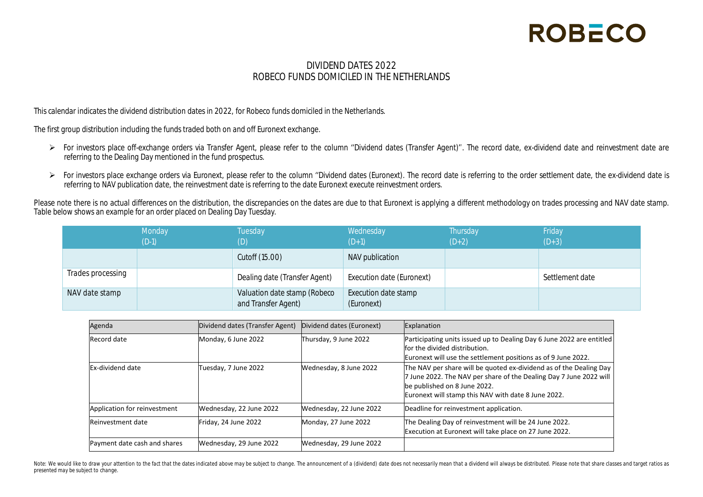#### DIVIDEND DATES 2022 ROBECO FUNDS DOMICILED IN THE NETHERLANDS

This calendar indicates the dividend distribution dates in 2022, for Robeco funds domiciled in the Netherlands.

The first group distribution including the funds traded both on and off Euronext exchange.

- ▶ For investors place off-exchange orders via Transfer Agent, please refer to the column "Dividend dates (Transfer Agent)". The record date, ex-dividend date and reinvestment date are referring to the Dealing Day mentioned in the fund prospectus.
- ▶ For investors place exchange orders via Euronext, please refer to the column "Dividend dates (Euronext). The record date is referring to the order settlement date, the ex-dividend date is referring to NAV publication date, the reinvestment date is referring to the date Euronext execute reinvestment orders.

Please note there is no actual differences on the distribution, the discrepancies on the dates are due to that Euronext is applying a different methodology on trades processing and NAV date stamp. Table below shows an example for an order placed on Dealing Day Tuesday.

|                   | Monday  | Tuesday                                             | Wednesday                          | Thursday | Friday          |
|-------------------|---------|-----------------------------------------------------|------------------------------------|----------|-----------------|
|                   | $(D-1)$ |                                                     | $(D+1)$                            | $(D+2)$  | $(D+3)$         |
|                   |         | Cutoff (15.00)                                      | NAV publication                    |          |                 |
| Trades processing |         | Dealing date (Transfer Agent)                       | Execution date (Euronext)          |          | Settlement date |
| NAV date stamp    |         | Valuation date stamp (Robeco<br>and Transfer Agent) | Execution date stamp<br>(Euronext) |          |                 |

| Agenda                       | Dividend dates (Transfer Agent) | Dividend dates (Euronext) | Explanation                                                                                                                                                                                                                     |
|------------------------------|---------------------------------|---------------------------|---------------------------------------------------------------------------------------------------------------------------------------------------------------------------------------------------------------------------------|
| Record date                  | Monday, 6 June 2022             | Thursday, 9 June 2022     | Participating units issued up to Dealing Day 6 June 2022 are entitled<br>for the divided distribution.<br>Euronext will use the settlement positions as of 9 June 2022.                                                         |
| Ex-dividend date             | Tuesday, 7 June 2022            | Wednesday, 8 June 2022    | The NAV per share will be quoted ex-dividend as of the Dealing Day<br>7 June 2022. The NAV per share of the Dealing Day 7 June 2022 will<br>be published on 8 June 2022.<br>Euronext will stamp this NAV with date 8 June 2022. |
| Application for reinvestment | Wednesday, 22 June 2022         | Wednesday, 22 June 2022   | Deadline for reinvestment application.                                                                                                                                                                                          |
| Reinvestment date            | Friday, 24 June 2022            | Monday, 27 June 2022      | The Dealing Day of reinvestment will be 24 June 2022.<br>Execution at Euronext will take place on 27 June 2022.                                                                                                                 |
| Payment date cash and shares | Wednesday, 29 June 2022         | Wednesday, 29 June 2022   |                                                                                                                                                                                                                                 |

Note: We would like to draw your attention to the fact that the dates indicated above may be subject to change. The announcement of a (dividend) date does not necessarily mean that a dividend will always be distributed. Pl *presented may be subject to change.*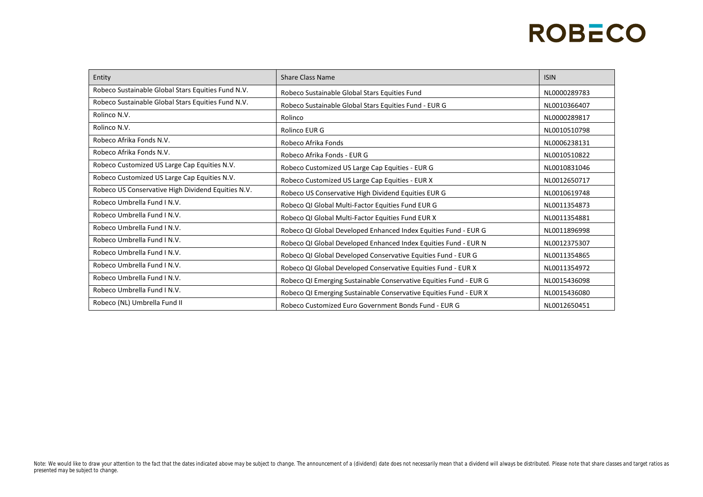| Entity                                             | <b>Share Class Name</b>                                           | <b>ISIN</b>  |
|----------------------------------------------------|-------------------------------------------------------------------|--------------|
| Robeco Sustainable Global Stars Equities Fund N.V. | Robeco Sustainable Global Stars Equities Fund                     | NL0000289783 |
| Robeco Sustainable Global Stars Equities Fund N.V. | Robeco Sustainable Global Stars Equities Fund - EUR G             | NL0010366407 |
| Rolinco N.V.                                       | Rolinco                                                           | NL0000289817 |
| Rolinco N.V.                                       | Rolinco EUR G                                                     | NL0010510798 |
| Robeco Afrika Fonds N.V.                           | Robeco Afrika Fonds                                               | NL0006238131 |
| Robeco Afrika Fonds N.V.                           | Robeco Afrika Fonds - EUR G                                       | NL0010510822 |
| Robeco Customized US Large Cap Equities N.V.       | Robeco Customized US Large Cap Equities - EUR G                   | NL0010831046 |
| Robeco Customized US Large Cap Equities N.V.       | Robeco Customized US Large Cap Equities - EUR X                   | NL0012650717 |
| Robeco US Conservative High Dividend Equities N.V. | Robeco US Conservative High Dividend Equities EUR G               | NL0010619748 |
| Robeco Umbrella Fund J N.V.                        | Robeco QI Global Multi-Factor Equities Fund EUR G                 | NL0011354873 |
| Robeco Umbrella Fund I N.V.                        | Robeco QI Global Multi-Factor Equities Fund EUR X                 | NL0011354881 |
| Robeco Umbrella Fund I N.V.                        | Robeco QI Global Developed Enhanced Index Equities Fund - EUR G   | NL0011896998 |
| Robeco Umbrella Fund I N.V.                        | Robeco QI Global Developed Enhanced Index Equities Fund - EUR N   | NL0012375307 |
| Robeco Umbrella Fund J N.V.                        | Robeco QI Global Developed Conservative Equities Fund - EUR G     | NL0011354865 |
| Robeco Umbrella Fund I N.V.                        | Robeco QI Global Developed Conservative Equities Fund - EUR X     | NL0011354972 |
| Robeco Umbrella Fund I N.V.                        | Robeco QI Emerging Sustainable Conservative Equities Fund - EUR G | NL0015436098 |
| Robeco Umbrella Fund I N.V.                        | Robeco QI Emerging Sustainable Conservative Equities Fund - EUR X | NL0015436080 |
| Robeco (NL) Umbrella Fund II                       | Robeco Customized Euro Government Bonds Fund - EUR G              | NL0012650451 |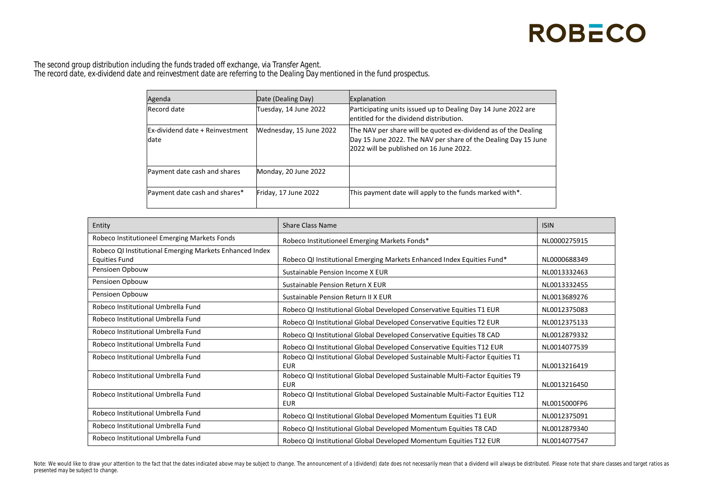The second group distribution including the funds traded off exchange, via Transfer Agent. The record date, ex-dividend date and reinvestment date are referring to the Dealing Day mentioned in the fund prospectus.

| Agenda                                  | Date (Dealing Day)      | Explanation                                                                                                                                                                 |
|-----------------------------------------|-------------------------|-----------------------------------------------------------------------------------------------------------------------------------------------------------------------------|
| Record date                             | Tuesday, 14 June 2022   | Participating units issued up to Dealing Day 14 June 2022 are<br>entitled for the dividend distribution.                                                                    |
| Ex-dividend date + Reinvestment<br>date | Wednesday, 15 June 2022 | The NAV per share will be quoted ex-dividend as of the Dealing<br>Day 15 June 2022. The NAV per share of the Dealing Day 15 June<br>2022 will be published on 16 June 2022. |
| Payment date cash and shares            | Monday, 20 June 2022    |                                                                                                                                                                             |
| Payment date cash and shares*           | Friday, 17 June 2022    | This payment date will apply to the funds marked with*.                                                                                                                     |

| Entity                                                  | <b>Share Class Name</b>                                                                      | <b>ISIN</b>  |
|---------------------------------------------------------|----------------------------------------------------------------------------------------------|--------------|
| Robeco Institutioneel Emerging Markets Fonds            | Robeco Institutioneel Emerging Markets Fonds*                                                | NL0000275915 |
| Robeco QI Institutional Emerging Markets Enhanced Index |                                                                                              |              |
| <b>Equities Fund</b>                                    | Robeco QI Institutional Emerging Markets Enhanced Index Equities Fund*                       | NL0000688349 |
| Pensioen Opbouw                                         | Sustainable Pension Income X EUR                                                             | NL0013332463 |
| Pensioen Opbouw                                         | Sustainable Pension Return X EUR                                                             | NL0013332455 |
| Pensioen Opbouw                                         | Sustainable Pension Return II X EUR                                                          | NL0013689276 |
| Robeco Institutional Umbrella Fund                      | Robeco QI Institutional Global Developed Conservative Equities T1 EUR                        | NL0012375083 |
| Robeco Institutional Umbrella Fund                      | Robeco QI Institutional Global Developed Conservative Equities T2 EUR                        | NL0012375133 |
| Robeco Institutional Umbrella Fund                      | Robeco QI Institutional Global Developed Conservative Equities T8 CAD                        | NL0012879332 |
| Robeco Institutional Umbrella Fund                      | Robeco QI Institutional Global Developed Conservative Equities T12 EUR                       | NL0014077539 |
| Robeco Institutional Umbrella Fund                      | Robeco QI Institutional Global Developed Sustainable Multi-Factor Equities T1<br><b>EUR</b>  | NL0013216419 |
| Robeco Institutional Umbrella Fund                      | Robeco QI Institutional Global Developed Sustainable Multi-Factor Equities T9<br><b>EUR</b>  | NL0013216450 |
| Robeco Institutional Umbrella Fund                      | Robeco QI Institutional Global Developed Sustainable Multi-Factor Equities T12<br><b>EUR</b> | NL0015000FP6 |
| Robeco Institutional Umbrella Fund                      | Robeco QI Institutional Global Developed Momentum Equities T1 EUR                            | NL0012375091 |
| Robeco Institutional Umbrella Fund                      | Robeco QI Institutional Global Developed Momentum Equities T8 CAD                            | NL0012879340 |
| Robeco Institutional Umbrella Fund                      | Robeco QI Institutional Global Developed Momentum Equities T12 EUR                           | NL0014077547 |

Note: We would like to draw your attention to the fact that the dates indicated above may be subject to change. The announcement of a (dividend) date does not necessarily mean that a dividend will always be distributed. Pl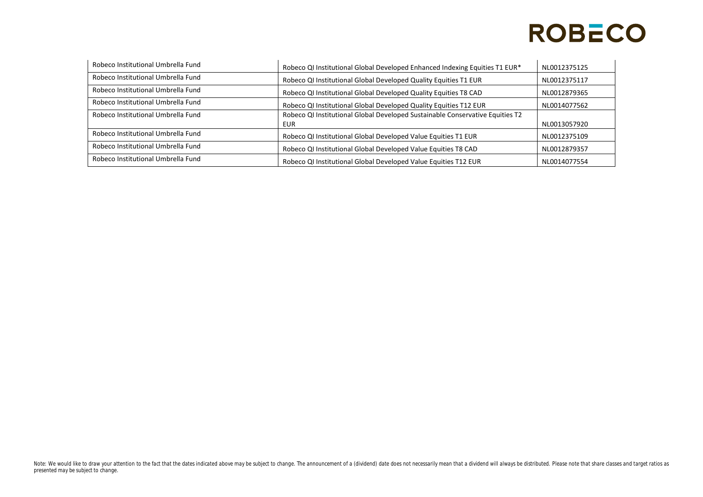| Robeco Institutional Umbrella Fund | Robeco QI Institutional Global Developed Enhanced Indexing Equities T1 EUR*   | NL0012375125 |
|------------------------------------|-------------------------------------------------------------------------------|--------------|
| Robeco Institutional Umbrella Fund | Robeco QI Institutional Global Developed Quality Equities T1 EUR              | NL0012375117 |
| Robeco Institutional Umbrella Fund | Robeco QI Institutional Global Developed Quality Equities T8 CAD              | NL0012879365 |
| Robeco Institutional Umbrella Fund | Robeco QI Institutional Global Developed Quality Equities T12 EUR             | NL0014077562 |
| Robeco Institutional Umbrella Fund | Robeco QI Institutional Global Developed Sustainable Conservative Equities T2 |              |
|                                    | <b>EUR</b>                                                                    | NL0013057920 |
| Robeco Institutional Umbrella Fund | Robeco QI Institutional Global Developed Value Equities T1 EUR                | NL0012375109 |
| Robeco Institutional Umbrella Fund | Robeco QI Institutional Global Developed Value Equities T8 CAD                | NL0012879357 |
| Robeco Institutional Umbrella Fund | Robeco QI Institutional Global Developed Value Equities T12 EUR               | NL0014077554 |